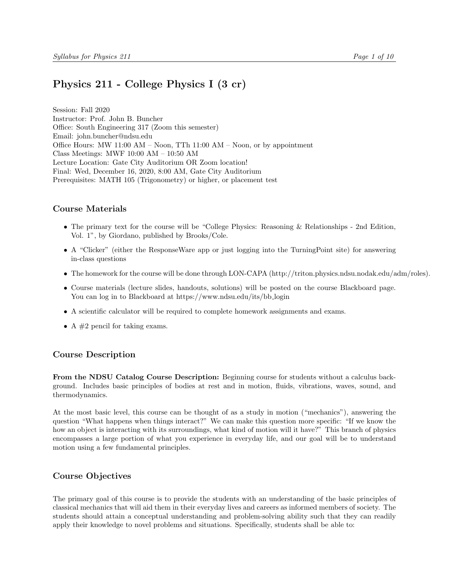# <span id="page-0-0"></span>Physics 211 - College Physics I (3 cr)

Session: Fall 2020 Instructor: Prof. John B. Buncher Office: South Engineering 317 (Zoom this semester) Email: john.buncher@ndsu.edu Office Hours: MW 11:00 AM – Noon, TTh 11:00 AM – Noon, or by appointment Class Meetings: MWF 10:00 AM – 10:50 AM Lecture Location: Gate City Auditorium OR Zoom location! Final: Wed, December 16, 2020, 8:00 AM, Gate City Auditorium Prerequisites: MATH 105 (Trigonometry) or higher, or placement test

### Course Materials

- The primary text for the course will be "College Physics: Reasoning & Relationships 2nd Edition, Vol. 1", by Giordano, published by Brooks/Cole.
- A "Clicker" (either the ResponseWare app or just logging into the TurningPoint site) for answering in-class questions
- The homework for the course will be done through LON-CAPA (http://triton.physics.ndsu.nodak.edu/adm/roles).
- Course materials (lecture slides, handouts, solutions) will be posted on the course Blackboard page. You can log in to Blackboard at https://www.ndsu.edu/its/bb\_login
- A scientific calculator will be required to complete homework assignments and exams.
- A  $#2$  pencil for taking exams.

### Course Description

From the NDSU Catalog Course Description: Beginning course for students without a calculus background. Includes basic principles of bodies at rest and in motion, fluids, vibrations, waves, sound, and thermodynamics.

At the most basic level, this course can be thought of as a study in motion ("mechanics"), answering the question "What happens when things interact?" We can make this question more specific: "If we know the how an object is interacting with its surroundings, what kind of motion will it have?" This branch of physics encompasses a large portion of what you experience in everyday life, and our goal will be to understand motion using a few fundamental principles.

### Course Objectives

The primary goal of this course is to provide the students with an understanding of the basic principles of classical mechanics that will aid them in their everyday lives and careers as informed members of society. The students should attain a conceptual understanding and problem-solving ability such that they can readily apply their knowledge to novel problems and situations. Specifically, students shall be able to: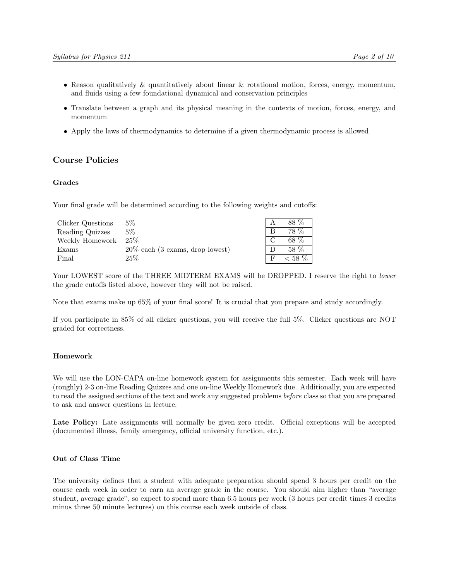- Reason qualitatively & quantitatively about linear & rotational motion, forces, energy, momentum, and fluids using a few foundational dynamical and conservation principles
- Translate between a graph and its physical meaning in the contexts of motion, forces, energy, and momentum
- Apply the laws of thermodynamics to determine if a given thermodynamic process is allowed

#### Course Policies

#### Grades

Your final grade will be determined according to the following weights and cutoffs:

| Clicker Questions | $5\%$                                               | 88 %      |
|-------------------|-----------------------------------------------------|-----------|
| Reading Quizzes   | 5%                                                  | 78 %      |
| Weekly Homework   | $25\%$                                              | 68 %      |
| Exams             | $20\%$ each $(3 \text{ exams}, \text{drop lowest})$ | 58 %      |
| Final             | $25\%$                                              | $< 58 \%$ |

Your LOWEST score of the THREE MIDTERM EXAMS will be DROPPED. I reserve the right to lower the grade cutoffs listed above, however they will not be raised.

Note that exams make up 65% of your final score! It is crucial that you prepare and study accordingly.

If you participate in 85% of all clicker questions, you will receive the full 5%. Clicker questions are NOT graded for correctness.

#### Homework

We will use the LON-CAPA on-line homework system for assignments this semester. Each week will have (roughly) 2-3 on-line Reading Quizzes and one on-line Weekly Homework due. Additionally, you are expected to read the assigned sections of the text and work any suggested problems before class so that you are prepared to ask and answer questions in lecture.

Late Policy: Late assignments will normally be given zero credit. Official exceptions will be accepted (documented illness, family emergency, official university function, etc.).

### Out of Class Time

The university defines that a student with adequate preparation should spend 3 hours per credit on the course each week in order to earn an average grade in the course. You should aim higher than "average student, average grade", so expect to spend more than 6.5 hours per week (3 hours per credit times 3 credits minus three 50 minute lectures) on this course each week outside of class.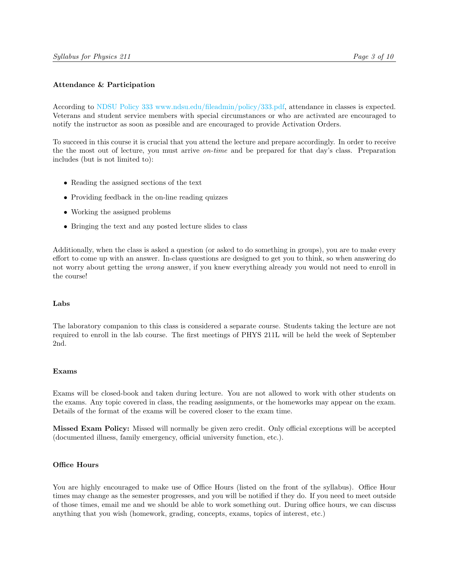#### Attendance & Participation

According to [NDSU Policy 333](#page-0-0) [www.ndsu.edu/fileadmin/policy/333.pdf,](#page-0-0) attendance in classes is expected. Veterans and student service members with special circumstances or who are activated are encouraged to notify the instructor as soon as possible and are encouraged to provide Activation Orders.

To succeed in this course it is crucial that you attend the lecture and prepare accordingly. In order to receive the the most out of lecture, you must arrive on-time and be prepared for that day's class. Preparation includes (but is not limited to):

- Reading the assigned sections of the text
- Providing feedback in the on-line reading quizzes
- Working the assigned problems
- Bringing the text and any posted lecture slides to class

Additionally, when the class is asked a question (or asked to do something in groups), you are to make every effort to come up with an answer. In-class questions are designed to get you to think, so when answering do not worry about getting the wrong answer, if you knew everything already you would not need to enroll in the course!

#### Labs

The laboratory companion to this class is considered a separate course. Students taking the lecture are not required to enroll in the lab course. The first meetings of PHYS 211L will be held the week of September 2nd.

#### Exams

Exams will be closed-book and taken during lecture. You are not allowed to work with other students on the exams. Any topic covered in class, the reading assignments, or the homeworks may appear on the exam. Details of the format of the exams will be covered closer to the exam time.

Missed Exam Policy: Missed will normally be given zero credit. Only official exceptions will be accepted (documented illness, family emergency, official university function, etc.).

#### Office Hours

You are highly encouraged to make use of Office Hours (listed on the front of the syllabus). Office Hour times may change as the semester progresses, and you will be notified if they do. If you need to meet outside of those times, email me and we should be able to work something out. During office hours, we can discuss anything that you wish (homework, grading, concepts, exams, topics of interest, etc.)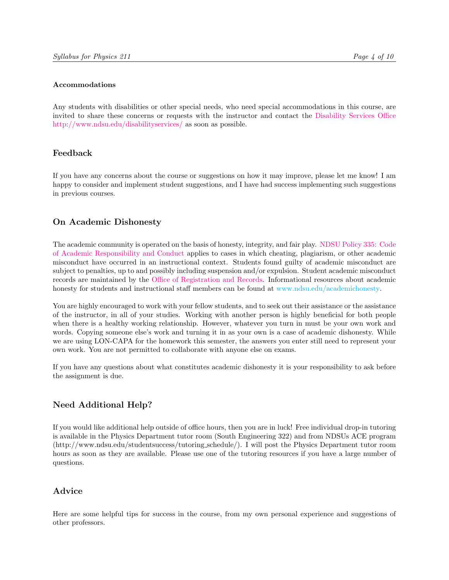#### Accommodations

Any students with disabilities or other special needs, who need special accommodations in this course, are invited to share these concerns or requests with the instructor and contact the [Disability Services Office](http://www.ndsu.edu/disabilityservices) [http://www.ndsu.edu/disabilityservices/](http://www.ndsu.edu/disabilityservices) as soon as possible.

# Feedback

If you have any concerns about the course or suggestions on how it may improve, please let me know! I am happy to consider and implement student suggestions, and I have had success implementing such suggestions in previous courses.

# On Academic Dishonesty

The academic community is operated on the basis of honesty, integrity, and fair play. [NDSU Policy 335:](http://www.ndsu.edu/fileadmin/policy/335.pdf) [Code](http://www.ndsu.edu/fileadmin/policy/335.pdf) [of Academic Responsibility and Conduct](http://www.ndsu.edu/fileadmin/policy/335.pdf) applies to cases in which cheating, plagiarism, or other academic misconduct have occurred in an instructional context. Students found guilty of academic misconduct are subject to penalties, up to and possibly including suspension and/or expulsion. Student academic misconduct records are maintained by the [Office of Registration and Records.](http://www.ndsu.edu/registrar) Informational resources about academic honesty for students and instructional staff members can be found at [www.ndsu.edu/academichonesty.](#page-0-0)

You are highly encouraged to work with your fellow students, and to seek out their assistance or the assistance of the instructor, in all of your studies. Working with another person is highly beneficial for both people when there is a healthy working relationship. However, whatever you turn in must be your own work and words. Copying someone else's work and turning it in as your own is a case of academic dishonesty. While we are using LON-CAPA for the homework this semester, the answers you enter still need to represent your own work. You are not permitted to collaborate with anyone else on exams.

If you have any questions about what constitutes academic dishonesty it is your responsibility to ask before the assignment is due.

# Need Additional Help?

If you would like additional help outside of office hours, then you are in luck! Free individual drop-in tutoring is available in the Physics Department tutor room (South Engineering 322) and from NDSUs ACE program (http://www.ndsu.edu/studentsuccess/tutoring schedule/). I will post the Physics Department tutor room hours as soon as they are available. Please use one of the tutoring resources if you have a large number of questions.

# Advice

Here are some helpful tips for success in the course, from my own personal experience and suggestions of other professors.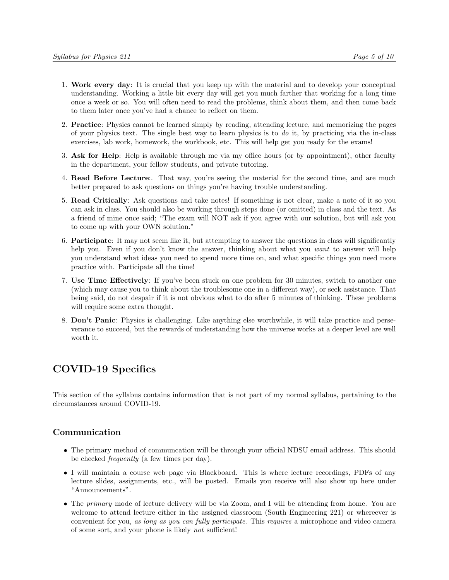- 1. Work every day: It is crucial that you keep up with the material and to develop your conceptual understanding. Working a little bit every day will get you much farther that working for a long time once a week or so. You will often need to read the problems, think about them, and then come back to them later once you've had a chance to reflect on them.
- 2. Practice: Physics cannot be learned simply by reading, attending lecture, and memorizing the pages of your physics text. The single best way to learn physics is to  $d\sigma$  it, by practicing via the in-class exercises, lab work, homework, the workbook, etc. This will help get you ready for the exams!
- 3. Ask for Help: Help is available through me via my office hours (or by appointment), other faculty in the department, your fellow students, and private tutoring.
- 4. Read Before Lecture:. That way, you're seeing the material for the second time, and are much better prepared to ask questions on things you're having trouble understanding.
- 5. Read Critically: Ask questions and take notes! If something is not clear, make a note of it so you can ask in class. You should also be working through steps done (or omitted) in class and the text. As a friend of mine once said; "The exam will NOT ask if you agree with our solution, but will ask you to come up with your OWN solution."
- 6. Participate: It may not seem like it, but attempting to answer the questions in class will significantly help you. Even if you don't know the answer, thinking about what you want to answer will help you understand what ideas you need to spend more time on, and what specific things you need more practice with. Participate all the time!
- 7. Use Time Effectively: If you've been stuck on one problem for 30 minutes, switch to another one (which may cause you to think about the troublesome one in a different way), or seek assistance. That being said, do not despair if it is not obvious what to do after 5 minutes of thinking. These problems will require some extra thought.
- 8. Don't Panic: Physics is challenging. Like anything else worthwhile, it will take practice and perseverance to succeed, but the rewards of understanding how the universe works at a deeper level are well worth it.

# COVID-19 Specifics

This section of the syllabus contains information that is not part of my normal syllabus, pertaining to the circumstances around COVID-19.

# Communication

- The primary method of communcation will be through your official NDSU email address. This should be checked frequently (a few times per day).
- I will maintain a course web page via Blackboard. This is where lecture recordings, PDFs of any lecture slides, assignments, etc., will be posted. Emails you receive will also show up here under "Announcements".
- The *primary* mode of lecture delivery will be via Zoom, and I will be attending from home. You are welcome to attend lecture either in the assigned classroom (South Engineering 221) or whereever is convenient for you, as long as you can fully participate. This requires a microphone and video camera of some sort, and your phone is likely not sufficient!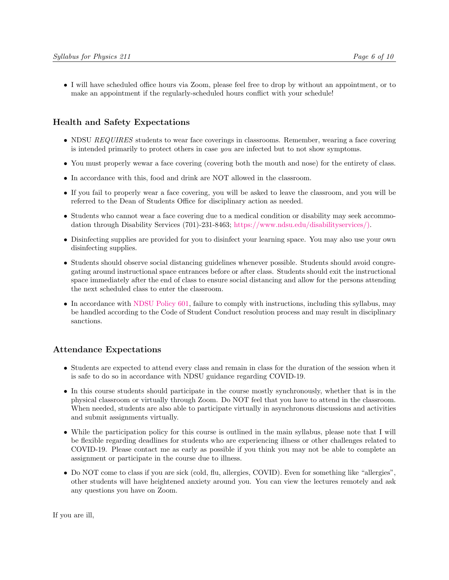• I will have scheduled office hours via Zoom, please feel free to drop by without an appointment, or to make an appointment if the regularly-scheduled hours conflict with your schedule!

# Health and Safety Expectations

- NDSU REQUIRES students to wear face coverings in classrooms. Remember, wearing a face covering is intended primarily to protect others in case you are infected but to not show symptoms.
- You must properly wewar a face covering (covering both the mouth and nose) for the entirety of class.
- In accordance with this, food and drink are NOT allowed in the classroom.
- If you fail to properly wear a face covering, you will be asked to leave the classroom, and you will be referred to the Dean of Students Office for disciplinary action as needed.
- Students who cannot wear a face covering due to a medical condition or disability may seek accommodation through Disability Services (701)-231-8463; [https://www.ndsu.edu/disabilityservices/\).](https://www.ndsu.edu/disabilityservices/)
- Disinfecting supplies are provided for you to disinfect your learning space. You may also use your own disinfecting supplies.
- Students should observe social distancing guidelines whenever possible. Students should avoid congregating around instructional space entrances before or after class. Students should exit the instructional space immediately after the end of class to ensure social distancing and allow for the persons attending the next scheduled class to enter the classroom.
- In accordance with [NDSU Policy 601,](https://www.ndsu.edu/fileadmin/policy/601.pdf) failure to comply with instructions, including this syllabus, may be handled according to the Code of Student Conduct resolution process and may result in disciplinary sanctions.

# Attendance Expectations

- Students are expected to attend every class and remain in class for the duration of the session when it is safe to do so in accordance with NDSU guidance regarding COVID-19.
- In this course students should participate in the course mostly synchronously, whether that is in the physical classroom or virtually through Zoom. Do NOT feel that you have to attend in the classroom. When needed, students are also able to participate virtually in asynchronous discussions and activities and submit assignments virtually.
- While the participation policy for this course is outlined in the main syllabus, please note that I will be flexible regarding deadlines for students who are experiencing illness or other challenges related to COVID-19. Please contact me as early as possible if you think you may not be able to complete an assignment or participate in the course due to illness.
- Do NOT come to class if you are sick (cold, flu, allergies, COVID). Even for something like "allergies", other students will have heightened anxiety around you. You can view the lectures remotely and ask any questions you have on Zoom.

If you are ill,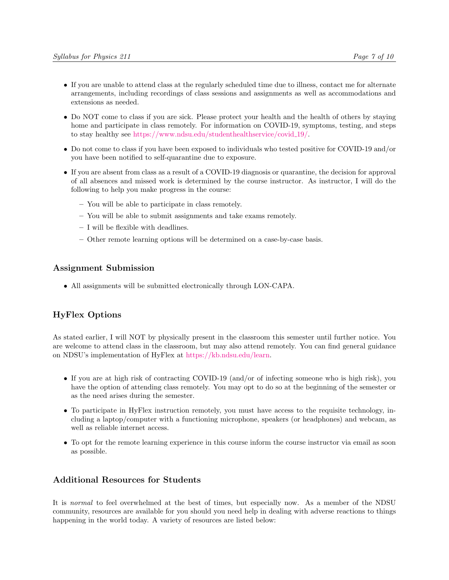- If you are unable to attend class at the regularly scheduled time due to illness, contact me for alternate arrangements, including recordings of class sessions and assignments as well as accommodations and extensions as needed.
- Do NOT come to class if you are sick. Please protect your health and the health of others by staying home and participate in class remotely. For information on COVID-19, symptoms, testing, and steps to stay healthy see [https://www.ndsu.edu/studenthealthservice/covid](https://www.ndsu.edu/studenthealthservice/covid_19/) 19/.
- Do not come to class if you have been exposed to individuals who tested positive for COVID-19 and/or you have been notified to self-quarantine due to exposure.
- If you are absent from class as a result of a COVID-19 diagnosis or quarantine, the decision for approval of all absences and missed work is determined by the course instructor. As instructor, I will do the following to help you make progress in the course:
	- You will be able to participate in class remotely.
	- You will be able to submit assignments and take exams remotely.
	- I will be flexible with deadlines.
	- Other remote learning options will be determined on a case-by-case basis.

### Assignment Submission

• All assignments will be submitted electronically through LON-CAPA.

### HyFlex Options

As stated earlier, I will NOT by physically present in the classroom this semester until further notice. You are welcome to attend class in the classroom, but may also attend remotely. You can find general guidance on NDSU's implementation of HyFlex at [https://kb.ndsu.edu/learn.](https://kb.ndsu.edu/learn)

- If you are at high risk of contracting COVID-19 (and/or of infecting someone who is high risk), you have the option of attending class remotely. You may opt to do so at the beginning of the semester or as the need arises during the semester.
- To participate in HyFlex instruction remotely, you must have access to the requisite technology, including a laptop/computer with a functioning microphone, speakers (or headphones) and webcam, as well as reliable internet access.
- To opt for the remote learning experience in this course inform the course instructor via email as soon as possible.

### Additional Resources for Students

It is normal to feel overwhelmed at the best of times, but especially now. As a member of the NDSU community, resources are available for you should you need help in dealing with adverse reactions to things happening in the world today. A variety of resources are listed below: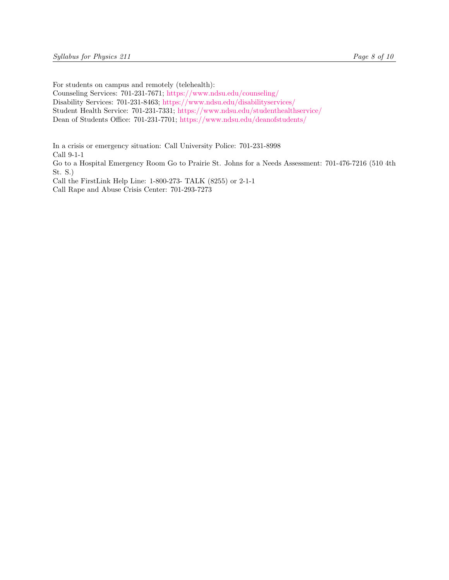For students on campus and remotely (telehealth):

Counseling Services: 701-231-7671; <https://www.ndsu.edu/counseling/>

Disability Services: 701-231-8463; <https://www.ndsu.edu/disabilityservices/>

Student Health Service: 701-231-7331; <https://www.ndsu.edu/studenthealthservice/>

Dean of Students Office: 701-231-7701; <https://www.ndsu.edu/deanofstudents/>

In a crisis or emergency situation: Call University Police: 701-231-8998 Call 9-1-1 Go to a Hospital Emergency Room Go to Prairie St. Johns for a Needs Assessment: 701-476-7216 (510 4th St. S.) Call the FirstLink Help Line: 1-800-273- TALK (8255) or 2-1-1 Call Rape and Abuse Crisis Center: 701-293-7273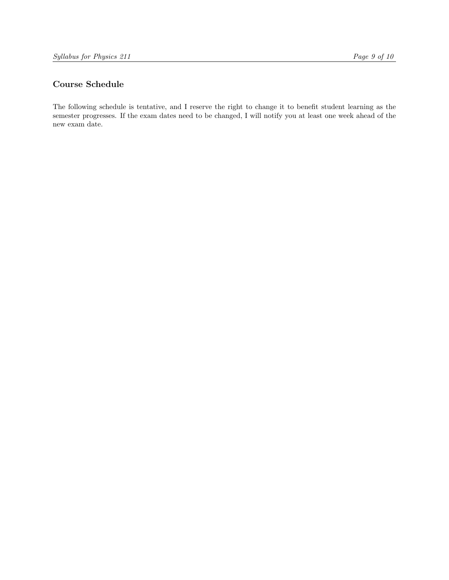# Course Schedule

The following schedule is tentative, and I reserve the right to change it to benefit student learning as the semester progresses. If the exam dates need to be changed, I will notify you at least one week ahead of the new exam date.